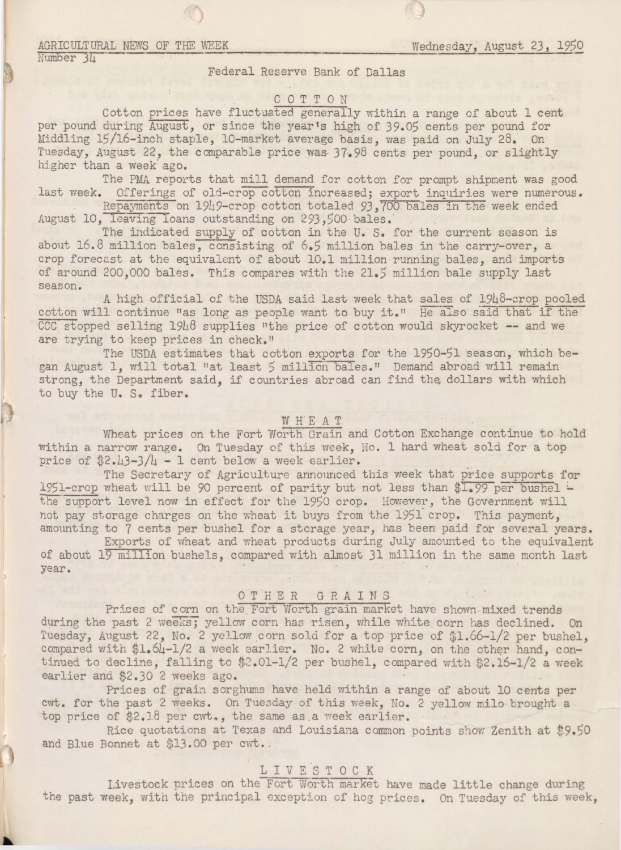## AGRICULTURAL NEWS OF THE WEEK **WEEK** WEDNESDAY, August 23, 1950

Number 34

### Federal Reserve Bank of Dallas

# COTTON

Cotton prices have fluctuated generally within a range of about 1 cent per pound during August, or since the year's high of 39.05 cents per pound for Middling 15/16-inch staple, 10-market average basis, was paid on July 28. On Tuesday, August 22, the comparable price was· 37.98 cents per pound, or slightly higher than a week ago.

The PMA reports that mill demand for cotton for prompt shipment was good last week. Offerings of old-crop cotton increased; export inquiries were numerous.

Repayments on 1949-crop cotton totaled 93.700 bales in the week ended August 10, leaving Ioans outstanding on 293,500 bales.

The indicated supply of cotton in the U. S. for the current season is about 16. 8 million bales, consisting of 6.S million bales in the carry-over, a crop forecast at the equivalent of about 10.l million running bales, and imports of around 200,000 bales. This compares with the 21.5 million bale supply last season.

A high official of the USDA said last week that sales of 1948-crop pooled cotton will continue "as long as people want to buy it." He also said that if the  $CCC$  stopped selling  $191.8$  supplies "the price of cotton would skyrocket -- and we are trying to keep prices in check."

The USDA estimates that cotton exports for the 1950-51 season, which began August 1, will total "at least 5 million bales." Demand abroad will remain strong, the Department said, if countries abroad can find the dollars with which to buy the U. S. fiber.

## WHEAT

Wheat prices on the Fort Worth Grain and Cotton Exchange continue to hold within a narrow range. On Tuesday of this week, No. 1 hard wheat sold for a top price of  $2.43-3/4 - 1$  cent below a week earlier.

The Secretary of Agriculture announced this week that price supports for 1951-crop wheat will be 90 percent of parity but not less than  $I.99$  per bushel the support level now in effect for the 1950 crop. However, the Government will not pay storage charges on the wheat it buys from the 1951 crop. This payment, amounting to 7 cents per bushel for a storage year, has been paid for several years.

Exports of wheat and wheat products during July amounted to the equivalent of about 19 million bushels, compared with almost 31 million in the same month last year.

## OTHER GRAINS

Prices of corn on the Fort Worth grain market have shown mixed trends during the past 2 weeks; yellow corn has risen, while white corn has declined. On Tuesday, August 22, No. 2 yellow corn sold for a top price of \$1.66-1/2 per bushel, compared with \$1.64-1/2 a week earlier. No. 2 white corn, on the other hand, continued to decline, falling to  $$2.01-1/2$  per bushel, compared with  $$2.16-1/2$  a week earlier and \$2.30 2 weeks ago.

Prices of grain sorghums have held within a range of about 10 cents per cwt. for the past 2 weeks. On Tuesday of this week, No. 2 yellow milo brought a top price of  $$2.18$  per cwt., the same as a week earlier.

Rice quotations at Texas and Louisiana common points show Zenith at \$9.50 and Blue Bonnet at \$13.00 per cwt..

# LIVESTOCK

Livestock prices on the Fort Worth market have made little change during the past week, with the principal exception of hog prices. On Tuesday of this week,